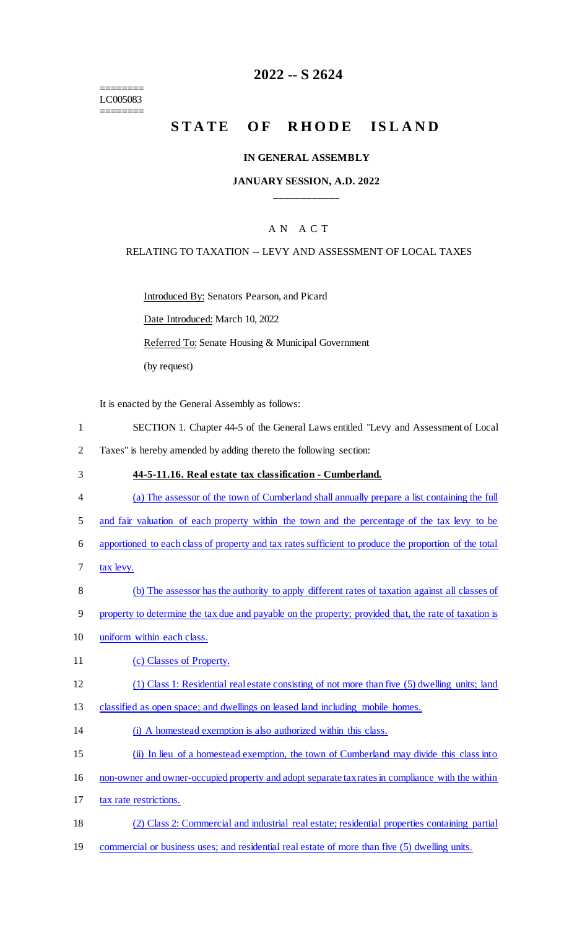======== LC005083 ========

# **2022 -- S 2624**

# STATE OF RHODE ISLAND

#### **IN GENERAL ASSEMBLY**

### **JANUARY SESSION, A.D. 2022 \_\_\_\_\_\_\_\_\_\_\_\_**

### A N A C T

### RELATING TO TAXATION -- LEVY AND ASSESSMENT OF LOCAL TAXES

Introduced By: Senators Pearson, and Picard

Date Introduced: March 10, 2022

Referred To: Senate Housing & Municipal Government

(by request)

It is enacted by the General Assembly as follows:

- 1 SECTION 1. Chapter 44-5 of the General Laws entitled "Levy and Assessment of Local
- 2 Taxes" is hereby amended by adding thereto the following section:
- 3 **44-5-11.16. Real estate tax classification - Cumberland.**
- 4 (a) The assessor of the town of Cumberland shall annually prepare a list containing the full
- 5 and fair valuation of each property within the town and the percentage of the tax levy to be
- 6 apportioned to each class of property and tax rates sufficient to produce the proportion of the total
- 7 tax levy.
- 8 (b) The assessor has the authority to apply different rates of taxation against all classes of
- 9 property to determine the tax due and payable on the property; provided that, the rate of taxation is
- 10 uniform within each class.
- 11 (c) Classes of Property.
- 12 (1) Class 1: Residential real estate consisting of not more than five (5) dwelling units; land
- 13 classified as open space; and dwellings on leased land including mobile homes.
- 14 (i) A homestead exemption is also authorized within this class.
- 15 (ii) In lieu of a homestead exemption, the town of Cumberland may divide this class into
- 16 non-owner and owner-occupied property and adopt separate tax rates in compliance with the within
- 17 tax rate restrictions.
- 18 (2) Class 2: Commercial and industrial real estate; residential properties containing partial
- 19 commercial or business uses; and residential real estate of more than five (5) dwelling units.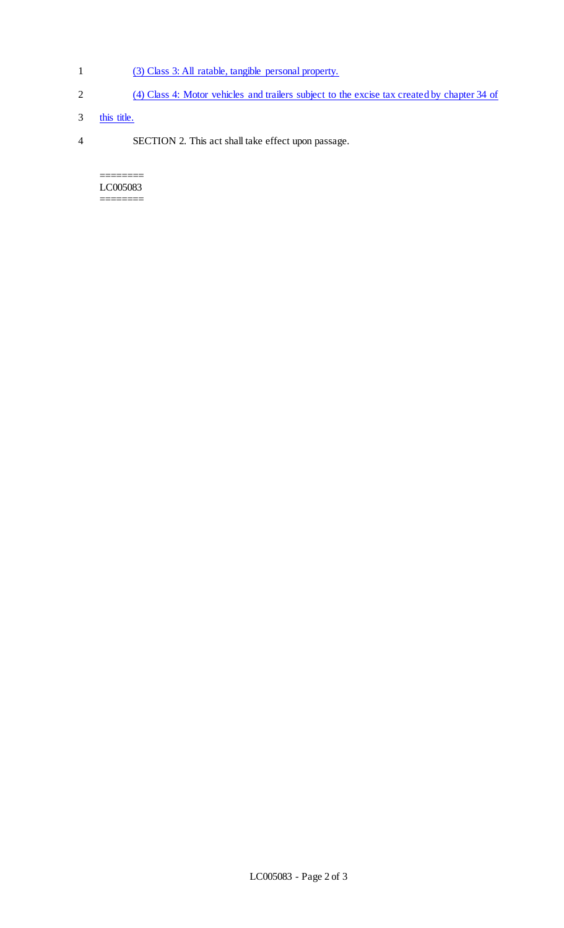- 1 (3) Class 3: All ratable, tangible personal property.
- 2 (4) Class 4: Motor vehicles and trailers subject to the excise tax created by chapter 34 of
- 3 this title.
- 4 SECTION 2. This act shall take effect upon passage.

======== LC005083 ========